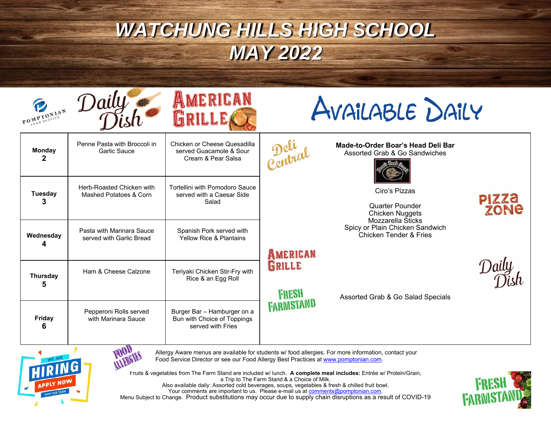| POMPTONIAN           | Daily                                                 | AMERICAN<br>GRILLE                                                              | AVAILABLE DAILY                    |                                                                                        |                      |
|----------------------|-------------------------------------------------------|---------------------------------------------------------------------------------|------------------------------------|----------------------------------------------------------------------------------------|----------------------|
| <b>Monday</b><br>2   | Penne Pasta with Broccoli in<br><b>Garlic Sauce</b>   | Chicken or Cheese Quesadilla<br>served Guacamole & Sour<br>Cream & Pear Salsa   |                                    | Made-to-Order Boar's Head Deli Bar<br>Assorted Grab & Go Sandwiches                    |                      |
| <b>Tuesday</b><br>3  | Herb-Roasted Chicken with<br>Mashed Potatoes & Corn   | Tortellini with Pomodoro Sauce<br>served with a Caesar Side<br>Salad            |                                    | Ciro's Pizzas<br><b>Quarter Pounder</b><br><b>Chicken Nuggets</b><br>Mozzarella Šticks | <b>PIZZA</b><br>ZONE |
| Wednesday            | Pasta with Marinara Sauce<br>served with Garlic Bread | Spanish Pork served with<br><b>Yellow Rice &amp; Plantains</b>                  |                                    | Spicy or Plain Chicken Sandwich<br><b>Chicken Tender &amp; Fries</b>                   |                      |
| <b>Thursday</b><br>5 | Ham & Cheese Calzone                                  | Teriyaki Chicken Stir-Fry with<br>Rice & an Egg Roll                            | AMERICAN<br>GRILLE<br><b>FRESH</b> | Assorted Grab & Go Salad Specials                                                      |                      |
| Friday<br>6          | Pepperoni Rolls served<br>with Marinara Sauce         | Burger Bar - Hamburger on a<br>Bun with Choice of Toppings<br>served with Fries | <b>FARMISTAND</b>                  |                                                                                        |                      |

**MARGIES** 

Allergy Aware menus are available for students w/ food allergies. For more information, contact your Food Service Director or see our Food Allergy Best Practices at www.pomptonian.com.

Fruits & vegetables from The Farm Stand are included w/ lunch. **A complete meal includes:** Entrée w/ Protein/Grain, a Trip to The Farm Stand & a Choice of Milk. Also available daily: Assorted cold beverages, soups, vegetables & fresh & chilled fruit bowl. Your comments are important to us. Please e-mail us at <u>comments@pomptonian.com</u>. Menu Subject to Change. Product substitutions may occur due to supply chain disruptions as a result of COVID-19 **FRESH**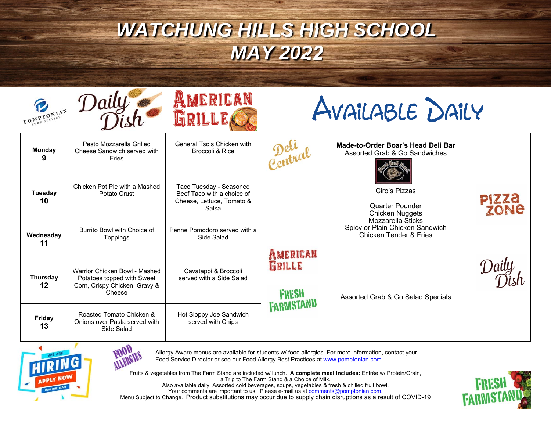



AVAILABLE DAILY

|                     | <b>Monday</b><br>9                                                      | Pesto Mozzarella Grilled<br>Cheese Sandwich served with<br>Fries                                       | General Tso's Chicken with<br>Broccoli & Rice                                               | Central         | Made-to-Order Boar's Head Deli Bar<br>Assorted Grab & Go Sandwiches                       |
|---------------------|-------------------------------------------------------------------------|--------------------------------------------------------------------------------------------------------|---------------------------------------------------------------------------------------------|-----------------|-------------------------------------------------------------------------------------------|
|                     | <b>Tuesday</b><br>10                                                    | Chicken Pot Pie with a Mashed<br>Potato Crust                                                          | Taco Tuesday - Seasoned<br>Beef Taco with a choice of<br>Cheese, Lettuce, Tomato &<br>Salsa |                 | Ciro's Pizzas<br>Quarter Pounder<br><b>Chicken Nuggets</b>                                |
|                     | Wednesday<br>11                                                         | Burrito Bowl with Choice of<br>Toppings                                                                | Penne Pomodoro served with a<br>Side Salad                                                  | AMERICAN        | Mozzarella Sticks<br>Spicy or Plain Chicken Sandwich<br><b>Chicken Tender &amp; Fries</b> |
|                     | <b>Thursday</b><br>12                                                   | Warrior Chicken Bowl - Mashed<br>Potatoes topped with Sweet<br>Corn, Crispy Chicken, Gravy &<br>Cheese | Cavatappi & Broccoli<br>served with a Side Salad                                            | GRILLE<br>FRESH | Assorted Grab & Go Salad Specials                                                         |
| <b>Friday</b><br>13 | Roasted Tomato Chicken &<br>Onions over Pasta served with<br>Side Salad | Hot Sloppy Joe Sandwich<br>served with Chips                                                           | <b>FARMISTAND</b>                                                                           |                 |                                                                                           |





Allergy Aware menus are available for students w/ food allergies. For more information, contact your Food Service Director or see our Food Allergy Best Practices at www.pomptonian.com.

Fruits & vegetables from The Farm Stand are included w/ lunch. **A complete meal includes:** Entrée w/ Protein/Grain, a Trip to The Farm Stand & a Choice of Milk. Also available daily: Assorted cold beverages, soups, vegetables & fresh & chilled fruit bowl. Your comments are important to us. Please e-mail us at <u>comments@pomptonian.com</u>. Menu Subject to Change. Product substitutions may occur due to supply chain disruptions as a result of COVID-19



PIZZA<br>ZONE

Daily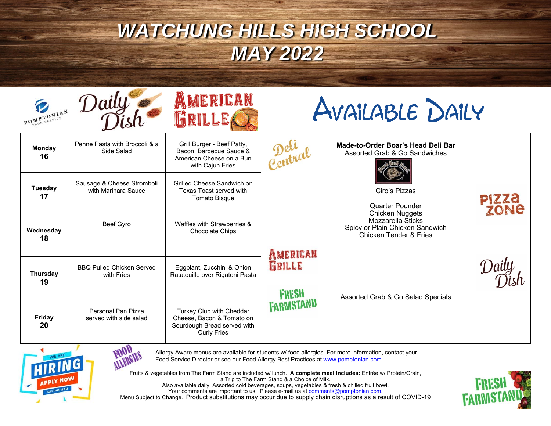|                                                                                                                                                                                             | POMPTONIAN Daily                                  | AMERICAN<br>GRILLE                                                                                         | AVAILABLE DAILY             |                                                                                           |                      |
|---------------------------------------------------------------------------------------------------------------------------------------------------------------------------------------------|---------------------------------------------------|------------------------------------------------------------------------------------------------------------|-----------------------------|-------------------------------------------------------------------------------------------|----------------------|
| <b>Monday</b><br>16                                                                                                                                                                         | Penne Pasta with Broccoli & a<br>Side Salad       | Grill Burger - Beef Patty,<br>Bacon, Barbecue Sauce &<br>American Cheese on a Bun<br>with Cajun Fries      | Pelia                       | Made-to-Order Boar's Head Deli Bar<br>Assorted Grab & Go Sandwiches                       |                      |
| Tuesday<br>17                                                                                                                                                                               | Sausage & Cheese Stromboli<br>with Marinara Sauce | Grilled Cheese Sandwich on<br>Texas Toast served with<br><b>Tomato Bisque</b>                              |                             | Ciro's Pizzas<br><b>Quarter Pounder</b><br><b>Chicken Nuggets</b>                         | <b>PIZZA</b><br>ZONE |
| Wednesday<br>18                                                                                                                                                                             | Beef Gyro                                         | Waffles with Strawberries &<br><b>Chocolate Chips</b>                                                      |                             | Mozzarella Šticks<br>Spicy or Plain Chicken Sandwich<br><b>Chicken Tender &amp; Fries</b> |                      |
| <b>Thursday</b><br>19                                                                                                                                                                       | <b>BBQ Pulled Chicken Served</b><br>with Fries    | Eggplant, Zucchini & Onion<br>Ratatouille over Rigatoni Pasta                                              | AMERICAN<br>GRILLE<br>FRESH | Assorted Grab & Go Salad Specials                                                         |                      |
| Friday<br>20                                                                                                                                                                                | Personal Pan Pizza<br>served with side salad      | Turkey Club with Cheddar<br>Cheese, Bacon & Tomato on<br>Sourdough Bread served with<br><b>Curly Fries</b> | <b>FARMISTAND</b>           |                                                                                           |                      |
| Allergy Aware menus are available for students w/ food allergies. For more information, contact your<br>Food Service Director or see our Food Allergy Best Practices at www.pomptonian.com. |                                                   |                                                                                                            |                             |                                                                                           |                      |



Fruits & vegetables from The Farm Stand are included w/ lunch. **A complete meal includes:** Entrée w/ Protein/Grain, a Trip to The Farm Stand & a Choice of Milk. Also available daily: Assorted cold beverages, soups, vegetables & fresh & chilled fruit bowl. Your comments are important to us. Please e-mail us at <u>comments@pomptonian.com</u>. Menu Subject to Change. Product substitutions may occur due to supply chain disruptions as a result of COVID-19 **FRESH**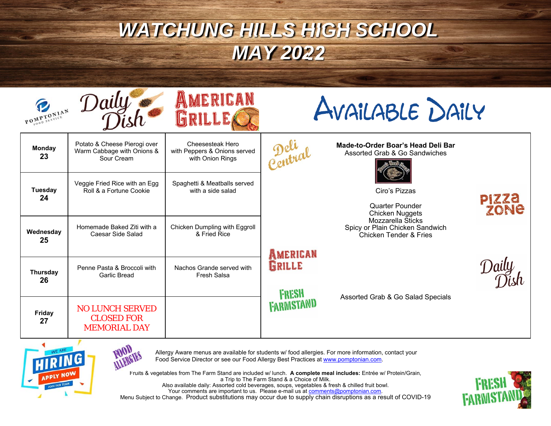



AVAILABLE DAILY

| <b>Monday</b><br>23  | Potato & Cheese Pierogi over<br>Warm Cabbage with Onions &<br>Sour Cream | Cheesesteak Hero<br>with Peppers & Onions served<br>with Onion Rings | Petra                     | Made-to-Order Boar's Head Deli Bar<br>Assorted Grab & Go Sandwiches                       |               |
|----------------------|--------------------------------------------------------------------------|----------------------------------------------------------------------|---------------------------|-------------------------------------------------------------------------------------------|---------------|
| <b>Tuesday</b><br>24 | Veggie Fried Rice with an Egg<br>Roll & a Fortune Cookie                 | Spaghetti & Meatballs served<br>with a side salad                    |                           | Ciro's Pizzas<br><b>Quarter Pounder</b><br>Chicken Nuggets                                | PIZZA<br>ZONE |
| Wednesday<br>25      | Homemade Baked Ziti with a<br>Caesar Side Salad                          | Chicken Dumpling with Eggroll<br>& Fried Rice                        | AMERICAN                  | Mozzarella Sticks<br>Spicy or Plain Chicken Sandwich<br><b>Chicken Tender &amp; Fries</b> |               |
| Thursday<br>26       | Penne Pasta & Broccoli with<br>Garlic Bread                              | Nachos Grande served with<br>Fresh Salsa                             | GRILLE                    |                                                                                           |               |
| <b>Friday</b><br>27  | <b>NO LUNCH SERVED</b><br><b>CLOSED FOR</b><br><b>MEMORIAL DAY</b>       |                                                                      | <b>FRESH</b><br>FARWSTAND | Assorted Grab & Go Salad Specials                                                         |               |



**FOOD** 



Fruits & vegetables from The Farm Stand are included w/ lunch. **A complete meal includes:** Entrée w/ Protein/Grain, a Trip to The Farm Stand & a Choice of Milk. Also available daily: Assorted cold beverages, soups, vegetables & fresh & chilled fruit bowl. Your comments are important to us. Please e-mail us at <u>comments@pomptonian.com</u>. Menu Subject to Change. Product substitutions may occur due to supply chain disruptions as a result of COVID-19